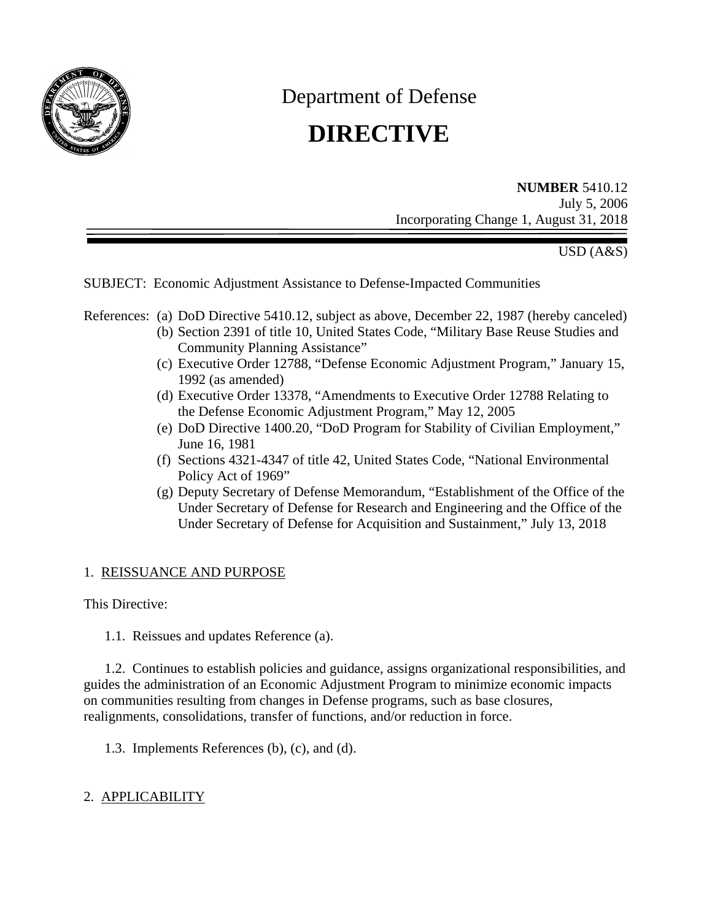

# Department of Defense **DIRECTIVE**

**NUMBER** 5410.12 July 5, 2006 Incorporating Change 1, August 31, 2018

USD (A&S)

SUBJECT: Economic Adjustment Assistance to Defense-Impacted Communities

References: (a) DoD Directive 5410.12, subject as above, December 22, 1987 (hereby canceled)

- (b) Section 2391 of title 10, United States Code, "Military Base Reuse Studies and Community Planning Assistance"
- (c) Executive Order 12788, "Defense Economic Adjustment Program," January 15, 1992 (as amended)
- (d) Executive Order 13378, "Amendments to Executive Order 12788 Relating to the Defense Economic Adjustment Program," May 12, 2005
- (e) DoD Directive 1400.20, "DoD Program for Stability of Civilian Employment," June 16, 1981
- (f) Sections 4321-4347 of title 42, United States Code, "National Environmental Policy Act of 1969"
- (g) Deputy Secretary of Defense Memorandum, "Establishment of the Office of the Under Secretary of Defense for Research and Engineering and the Office of the Under Secretary of Defense for Acquisition and Sustainment," July 13, 2018

# 1. REISSUANCE AND PURPOSE

This Directive:

1.1. Reissues and updates Reference (a).

1.2. Continues to establish policies and guidance, assigns organizational responsibilities, and guides the administration of an Economic Adjustment Program to minimize economic impacts on communities resulting from changes in Defense programs, such as base closures, realignments, consolidations, transfer of functions, and/or reduction in force.

1.3. Implements References (b), (c), and (d).

# 2. APPLICABILITY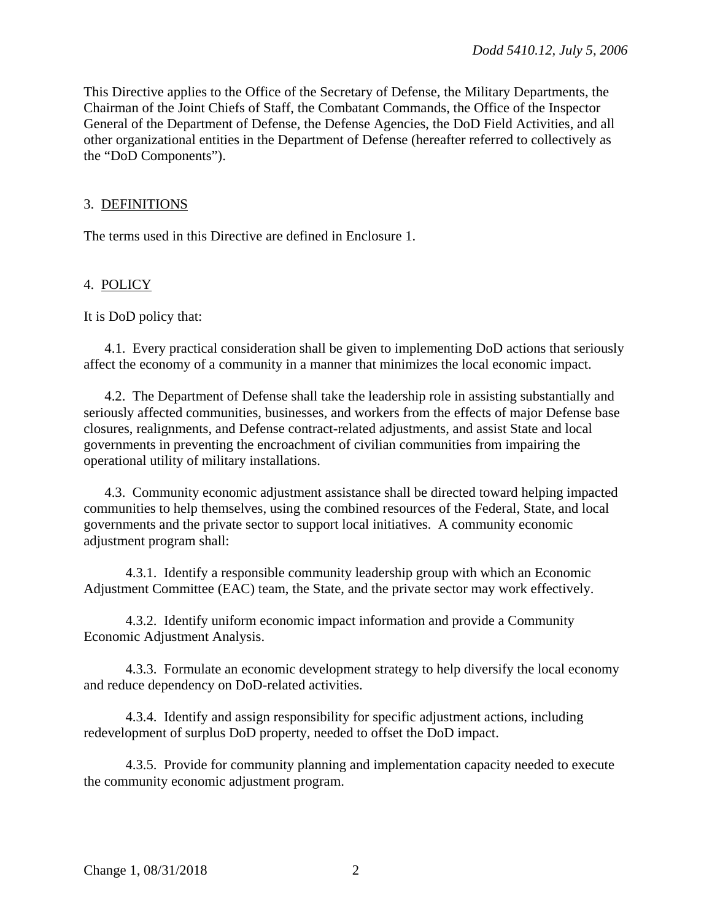This Directive applies to the Office of the Secretary of Defense, the Military Departments, the Chairman of the Joint Chiefs of Staff, the Combatant Commands, the Office of the Inspector General of the Department of Defense, the Defense Agencies, the DoD Field Activities, and all other organizational entities in the Department of Defense (hereafter referred to collectively as the "DoD Components").

#### 3. DEFINITIONS

The terms used in this Directive are defined in Enclosure 1.

#### 4. POLICY

It is DoD policy that:

4.1. Every practical consideration shall be given to implementing DoD actions that seriously affect the economy of a community in a manner that minimizes the local economic impact.

4.2. The Department of Defense shall take the leadership role in assisting substantially and seriously affected communities, businesses, and workers from the effects of major Defense base closures, realignments, and Defense contract-related adjustments, and assist State and local governments in preventing the encroachment of civilian communities from impairing the operational utility of military installations.

4.3. Community economic adjustment assistance shall be directed toward helping impacted communities to help themselves, using the combined resources of the Federal, State, and local governments and the private sector to support local initiatives. A community economic adjustment program shall:

4.3.1. Identify a responsible community leadership group with which an Economic Adjustment Committee (EAC) team, the State, and the private sector may work effectively.

4.3.2. Identify uniform economic impact information and provide a Community Economic Adjustment Analysis.

4.3.3. Formulate an economic development strategy to help diversify the local economy and reduce dependency on DoD-related activities.

4.3.4. Identify and assign responsibility for specific adjustment actions, including redevelopment of surplus DoD property, needed to offset the DoD impact.

4.3.5. Provide for community planning and implementation capacity needed to execute the community economic adjustment program.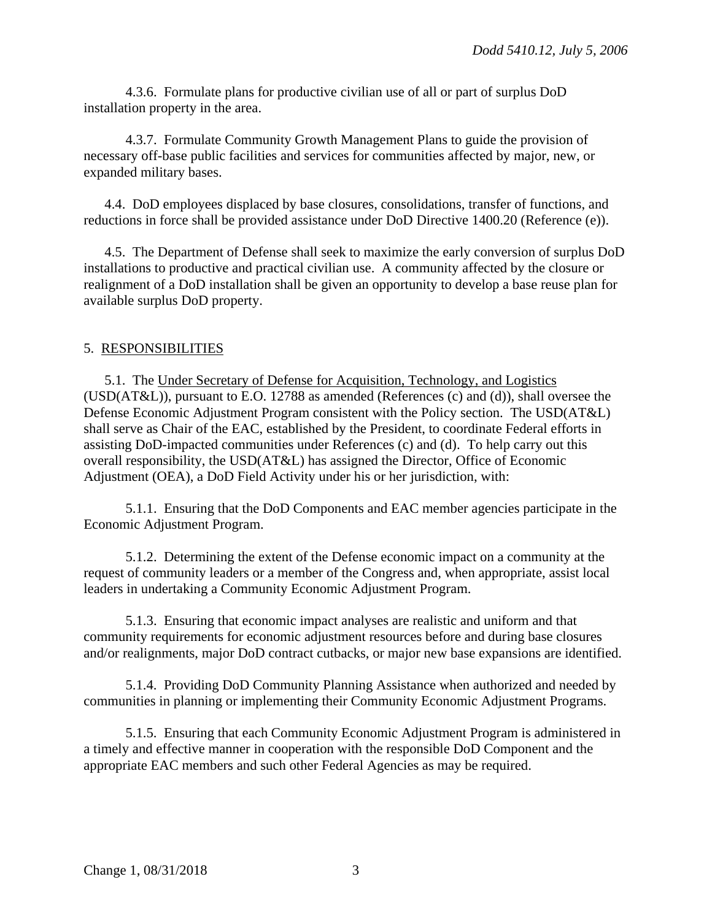4.3.6. Formulate plans for productive civilian use of all or part of surplus DoD installation property in the area.

4.3.7. Formulate Community Growth Management Plans to guide the provision of necessary off-base public facilities and services for communities affected by major, new, or expanded military bases.

4.4. DoD employees displaced by base closures, consolidations, transfer of functions, and reductions in force shall be provided assistance under DoD Directive 1400.20 (Reference (e)).

4.5. The Department of Defense shall seek to maximize the early conversion of surplus DoD installations to productive and practical civilian use. A community affected by the closure or realignment of a DoD installation shall be given an opportunity to develop a base reuse plan for available surplus DoD property.

# 5. RESPONSIBILITIES

5.1. The Under Secretary of Defense for Acquisition, Technology, and Logistics (USD(AT&L)), pursuant to E.O. 12788 as amended (References (c) and (d)), shall oversee the Defense Economic Adjustment Program consistent with the Policy section. The USD(AT&L) shall serve as Chair of the EAC, established by the President, to coordinate Federal efforts in assisting DoD-impacted communities under References (c) and (d). To help carry out this overall responsibility, the USD(AT&L) has assigned the Director, Office of Economic Adjustment (OEA), a DoD Field Activity under his or her jurisdiction, with:

5.1.1. Ensuring that the DoD Components and EAC member agencies participate in the Economic Adjustment Program.

5.1.2. Determining the extent of the Defense economic impact on a community at the request of community leaders or a member of the Congress and, when appropriate, assist local leaders in undertaking a Community Economic Adjustment Program.

5.1.3. Ensuring that economic impact analyses are realistic and uniform and that community requirements for economic adjustment resources before and during base closures and/or realignments, major DoD contract cutbacks, or major new base expansions are identified.

5.1.4. Providing DoD Community Planning Assistance when authorized and needed by communities in planning or implementing their Community Economic Adjustment Programs.

5.1.5. Ensuring that each Community Economic Adjustment Program is administered in a timely and effective manner in cooperation with the responsible DoD Component and the appropriate EAC members and such other Federal Agencies as may be required.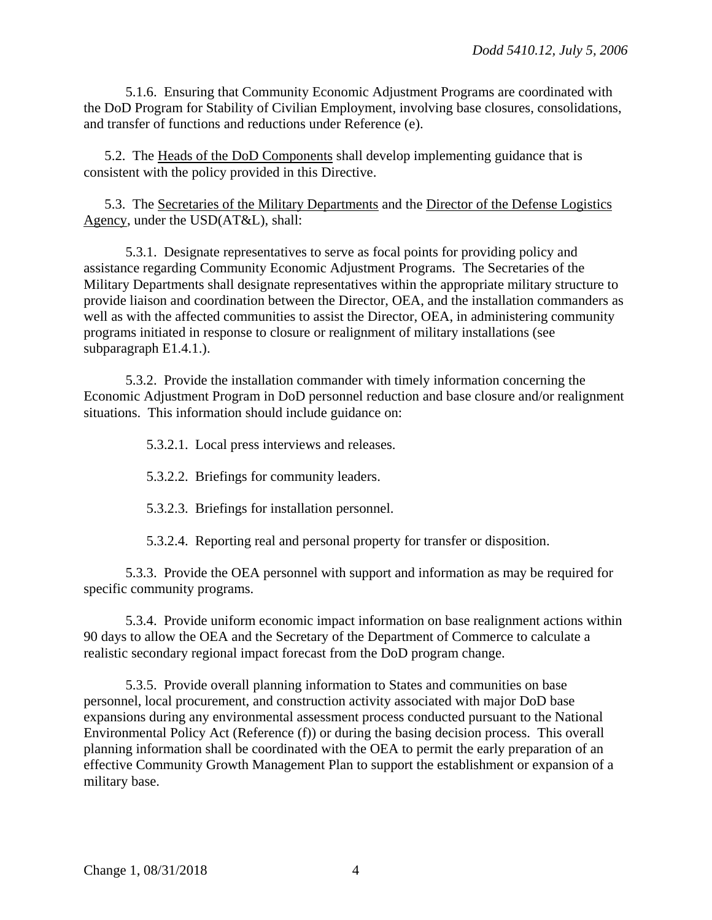5.1.6. Ensuring that Community Economic Adjustment Programs are coordinated with the DoD Program for Stability of Civilian Employment, involving base closures, consolidations, and transfer of functions and reductions under Reference (e).

5.2. The Heads of the DoD Components shall develop implementing guidance that is consistent with the policy provided in this Directive.

5.3. The Secretaries of the Military Departments and the Director of the Defense Logistics Agency, under the USD(AT&L), shall:

5.3.1. Designate representatives to serve as focal points for providing policy and assistance regarding Community Economic Adjustment Programs. The Secretaries of the Military Departments shall designate representatives within the appropriate military structure to provide liaison and coordination between the Director, OEA, and the installation commanders as well as with the affected communities to assist the Director, OEA, in administering community programs initiated in response to closure or realignment of military installations (see subparagraph E1.4.1.).

5.3.2. Provide the installation commander with timely information concerning the Economic Adjustment Program in DoD personnel reduction and base closure and/or realignment situations. This information should include guidance on:

5.3.2.1. Local press interviews and releases.

5.3.2.2. Briefings for community leaders.

5.3.2.3. Briefings for installation personnel.

5.3.2.4. Reporting real and personal property for transfer or disposition.

5.3.3. Provide the OEA personnel with support and information as may be required for specific community programs.

5.3.4. Provide uniform economic impact information on base realignment actions within 90 days to allow the OEA and the Secretary of the Department of Commerce to calculate a realistic secondary regional impact forecast from the DoD program change.

5.3.5. Provide overall planning information to States and communities on base personnel, local procurement, and construction activity associated with major DoD base expansions during any environmental assessment process conducted pursuant to the National Environmental Policy Act (Reference (f)) or during the basing decision process. This overall planning information shall be coordinated with the OEA to permit the early preparation of an effective Community Growth Management Plan to support the establishment or expansion of a military base.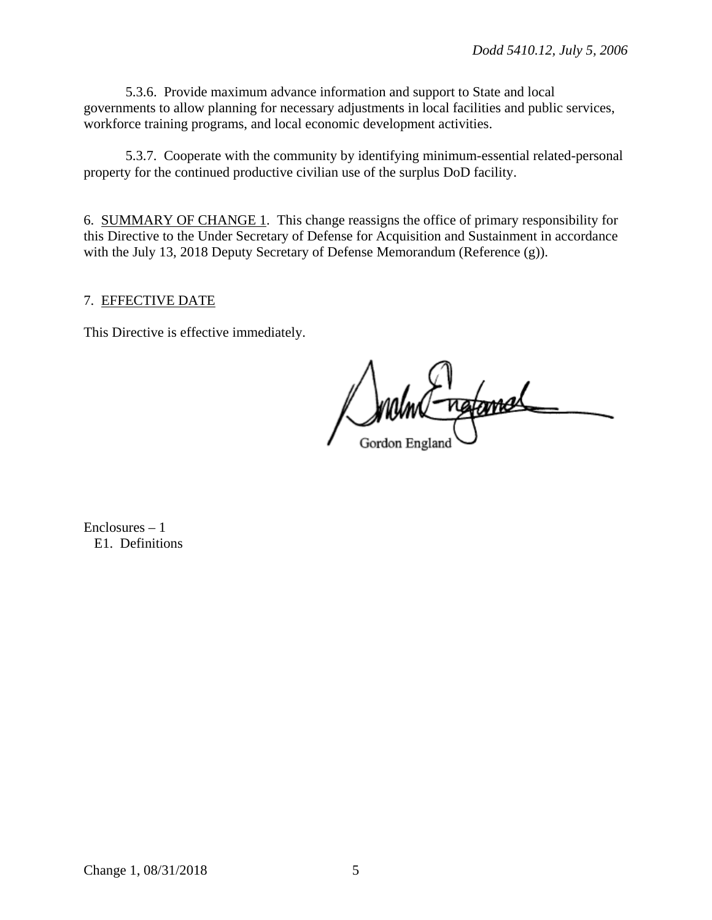5.3.6. Provide maximum advance information and support to State and local governments to allow planning for necessary adjustments in local facilities and public services, workforce training programs, and local economic development activities.

5.3.7. Cooperate with the community by identifying minimum-essential related-personal property for the continued productive civilian use of the surplus DoD facility.

6. SUMMARY OF CHANGE 1. This change reassigns the office of primary responsibility for this Directive to the Under Secretary of Defense for Acquisition and Sustainment in accordance with the July 13, 2018 Deputy Secretary of Defense Memorandum (Reference (g)).

# 7. EFFECTIVE DATE

This Directive is effective immediately.

malmt-natamal Gordon England

Enclosures – 1 E1. Definitions